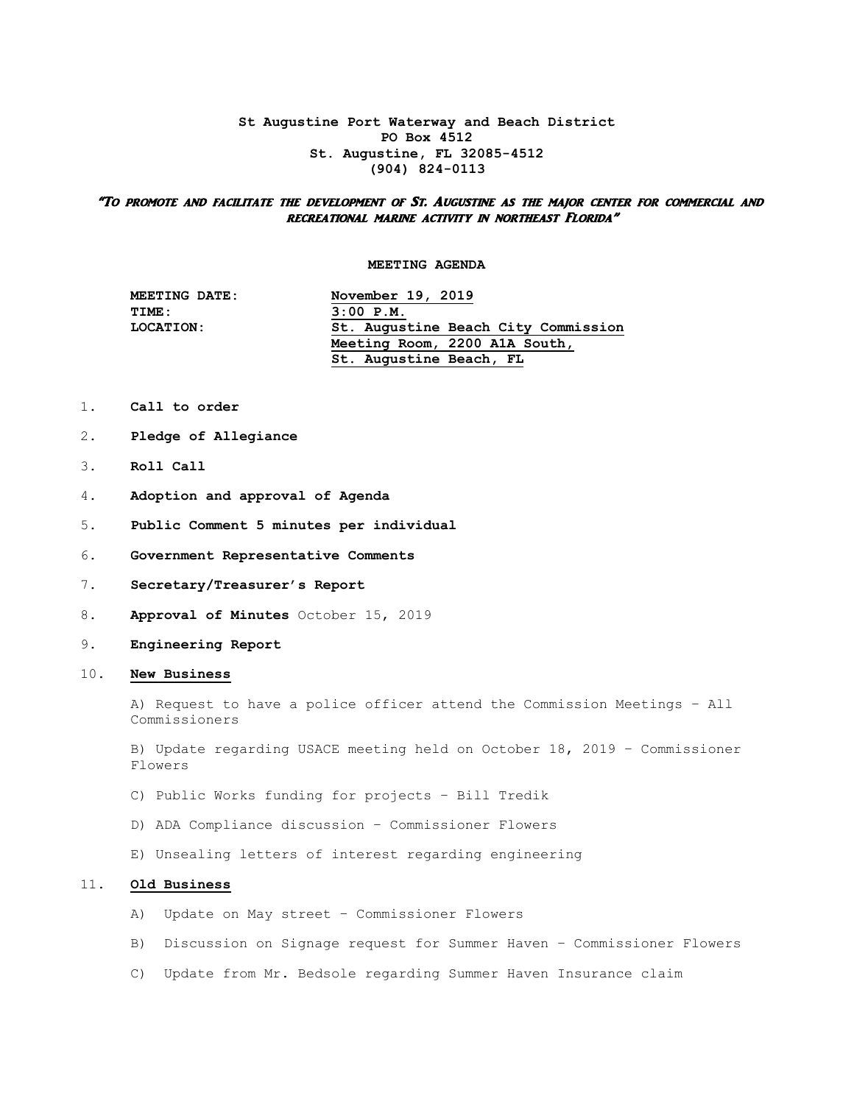## **St Augustine Port Waterway and Beach District PO Box 4512 St. Augustine, FL 32085-4512 (904) 824-0113**

## "To promote and facilitate the development of St. Augustine as the major center for commercial and recreational marine activity in northeast Florida"

## **MEETING AGENDA**

| MEETING DATE:    | November 19, 2019                   |
|------------------|-------------------------------------|
| TIME:            | $3:00$ $P.M.$                       |
| <b>LOCATION:</b> | St. Augustine Beach City Commission |
|                  | Meeting Room, 2200 A1A South,       |
|                  | St. Augustine Beach, FL             |

- 1. **Call to order**
- 2. **Pledge of Allegiance**
- 3. **Roll Call**
- 4. **Adoption and approval of Agenda**
- 5. **Public Comment 5 minutes per individual**
- 6. **Government Representative Comments**
- 7. **Secretary/Treasurer's Report**
- 8. **Approval of Minutes** October 15, 2019
- 9. **Engineering Report**
- 10. **New Business**

 A) Request to have a police officer attend the Commission Meetings – All Commissioners

 B) Update regarding USACE meeting held on October 18, 2019 – Commissioner Flowers

- C) Public Works funding for projects Bill Tredik
- D) ADA Compliance discussion Commissioner Flowers
- E) Unsealing letters of interest regarding engineering

## 11. **Old Business**

- A) Update on May street Commissioner Flowers
- B) Discussion on Signage request for Summer Haven Commissioner Flowers
- C) Update from Mr. Bedsole regarding Summer Haven Insurance claim